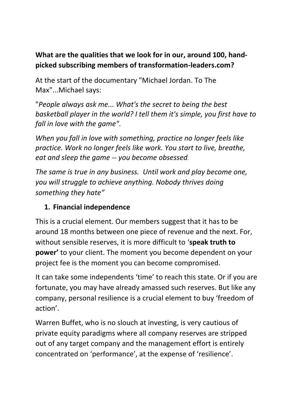### **What are the qualities that we look for in our, around 100, handpicked subscribing members of transformation-leaders.com?**

At the start of the documentary "Michael Jordan. To The Max"...Michael says:

"*People always ask me... What's the secret to being the best basketball player in the world? I tell them it's simple, you first have to fall in love with the game".*

*When you fall in love with something, practice no longer feels like practice. Work no longer feels like work. You start to live, breathe, eat and sleep the game -- you become obsessed.*

*The same is true in any business. Until work and play become one, you will struggle to achieve anything. Nobody thrives doing something they hate"*

### **1. Financial independence**

This is a crucial element. Our members suggest that it has to be around 18 months between one piece of revenue and the next. For, without sensible reserves, it is more difficult to '**speak truth to power'** to your client. The moment you become dependent on your project fee is the moment you can become compromised.

It can take some independents 'time' to reach this state. Or if you are fortunate, you may have already amassed such reserves. But like any company, personal resilience is a crucial element to buy 'freedom of action'.

Warren Buffet, who is no slouch at investing, is very cautious of private equity paradigms where all company reserves are stripped out of any target company and the management effort is entirely concentrated on 'performance', at the expense of 'resilience'.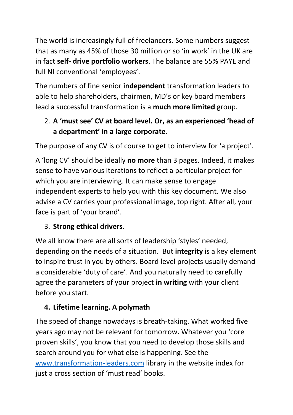The world is increasingly full of freelancers. Some numbers suggest that as many as 45% of those 30 million or so 'in work' in the UK are in fact **self- drive portfolio workers**. The balance are 55% PAYE and full NI conventional 'employees'.

The numbers of fine senior **independent** transformation leaders to able to help shareholders, chairmen, MD's or key board members lead a successful transformation is a **much more limited** group.

# 2. **A 'must see' CV at board level. Or, as an experienced 'head of a department' in a large corporate.**

The purpose of any CV is of course to get to interview for 'a project'.

A 'long CV' should be ideally **no more** than 3 pages. Indeed, it makes sense to have various iterations to reflect a particular project for which you are interviewing. It can make sense to engage independent experts to help you with this key document. We also advise a CV carries your professional image, top right. After all, your face is part of 'your brand'.

# 3. **Strong ethical drivers**.

We all know there are all sorts of leadership 'styles' needed, depending on the needs of a situation. But **integrity** is a key element to inspire trust in you by others. Board level projects usually demand a considerable 'duty of care'. And you naturally need to carefully agree the parameters of your project **in writing** with your client before you start.

# **4. Lifetime learning. A polymath**

The speed of change nowadays is breath-taking. What worked five years ago may not be relevant for tomorrow. Whatever you 'core proven skills', you know that you need to develop those skills and search around you for what else is happening. See the [www.transformation-leaders.com](http://www.transformation-leaders.com/) library in the website index for just a cross section of 'must read' books.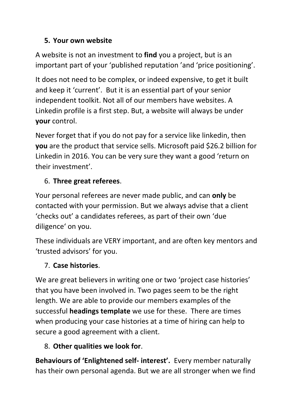### **5. Your own website**

A website is not an investment to **find** you a project, but is an important part of your 'published reputation 'and 'price positioning'.

It does not need to be complex, or indeed expensive, to get it built and keep it 'current'. But it is an essential part of your senior independent toolkit. Not all of our members have websites. A Linkedin profile is a first step. But, a website will always be under **your** control.

Never forget that if you do not pay for a service like linkedin, then **you** are the product that service sells. Microsoft paid \$26.2 billion for Linkedin in 2016. You can be very sure they want a good 'return on their investment'.

## 6. **Three great referees**.

Your personal referees are never made public, and can **only** be contacted with your permission. But we always advise that a client 'checks out' a candidates referees, as part of their own 'due diligence' on you.

These individuals are VERY important, and are often key mentors and 'trusted advisors' for you.

# 7. **Case histories**.

We are great believers in writing one or two 'project case histories' that you have been involved in. Two pages seem to be the right length. We are able to provide our members examples of the successful **headings template** we use for these. There are times when producing your case histories at a time of hiring can help to secure a good agreement with a client.

# 8. **Other qualities we look for**.

**Behaviours of 'Enlightened self- interest'.** Every member naturally has their own personal agenda. But we are all stronger when we find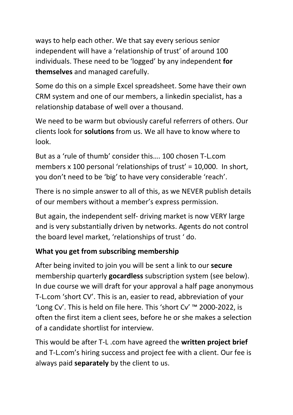ways to help each other. We that say every serious senior independent will have a 'relationship of trust' of around 100 individuals. These need to be 'logged' by any independent **for themselves** and managed carefully.

Some do this on a simple Excel spreadsheet. Some have their own CRM system and one of our members, a linkedin specialist, has a relationship database of well over a thousand.

We need to be warm but obviously careful referrers of others. Our clients look for **solutions** from us. We all have to know where to look.

But as a 'rule of thumb' consider this…. 100 chosen T-L.com members x 100 personal 'relationships of trust' = 10,000. In short, you don't need to be 'big' to have very considerable 'reach'.

There is no simple answer to all of this, as we NEVER publish details of our members without a member's express permission.

But again, the independent self- driving market is now VERY large and is very substantially driven by networks. Agents do not control the board level market, 'relationships of trust ' do.

### **What you get from subscribing membership**

After being invited to join you will be sent a link to our **secure** membership quarterly **gocardless** subscription system (see below). In due course we will draft for your approval a half page anonymous T-L.com 'short CV'. This is an, easier to read, abbreviation of your 'Long Cv'. This is held on file here. This 'short Cv' ™ 2000-2022, is often the first item a client sees, before he or she makes a selection of a candidate shortlist for interview.

This would be after T-L .com have agreed the **written project brief** and T-L.com's hiring success and project fee with a client. Our fee is always paid **separately** by the client to us.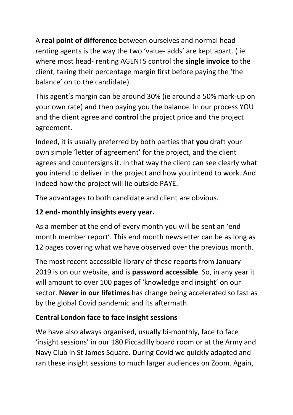A **real point of difference** between ourselves and normal head renting agents is the way the two 'value- adds' are kept apart. ( ie. where most head- renting AGENTS control the **single invoice** to the client, taking their percentage margin first before paying the 'the balance' on to the candidate).

This agent's margin can be around 30% (ie around a 50% mark-up on your own rate) and then paying you the balance. In our process YOU and the client agree and **control** the project price and the project agreement.

Indeed, it is usually preferred by both parties that **you** draft your own simple 'letter of agreement' for the project, and the client agrees and countersigns it. In that way the client can see clearly what **you** intend to deliver in the project and how you intend to work. And indeed how the project will lie outside PAYE.

The advantages to both candidate and client are obvious.

### **12 end- monthly insights every year.**

As a member at the end of every month you will be sent an 'end month member report'. This end month newsletter can be as long as 12 pages covering what we have observed over the previous month.

The most recent accessible library of these reports from January 2019 is on our website, and is **password accessible**. So, in any year it will amount to over 100 pages of 'knowledge and insight' on our sector. **Never in our lifetimes** has change being accelerated so fast as by the global Covid pandemic and its aftermath.

### **Central London face to face insight sessions**

We have also always organised, usually bi-monthly, face to face 'insight sessions' in our 180 Piccadilly board room or at the Army and Navy Club in St James Square. During Covid we quickly adapted and ran these insight sessions to much larger audiences on Zoom. Again,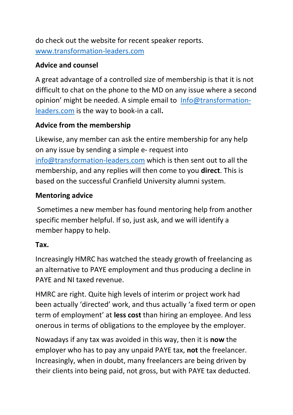do check out the website for recent speaker reports. [www.transformation-leaders.com](http://www.transformation-leaders.com/)

#### **Advice and counsel**

A great advantage of a controlled size of membership is that it is not difficult to chat on the phone to the MD on any issue where a second opinion' might be needed. A simple email to [Info@transformation](mailto:Info@transformation-leaders.com)[leaders.com](mailto:Info@transformation-leaders.com) is the way to book-in a call**.** 

#### **Advice from the membership**

Likewise, any member can ask the entire membership for any help on any issue by sending a simple e- request into [info@transformation-leaders.com](mailto:info@transformation-leaders.com) which is then sent out to all the membership, and any replies will then come to you **direct**. This is based on the successful Cranfield University alumni system.

#### **Mentoring advice**

Sometimes a new member has found mentoring help from another specific member helpful. If so, just ask, and we will identify a member happy to help.

#### **Tax.**

Increasingly HMRC has watched the steady growth of freelancing as an alternative to PAYE employment and thus producing a decline in PAYE and NI taxed revenue.

HMRC are right. Quite high levels of interim or project work had been actually 'directed' work, and thus actually 'a fixed term or open term of employment' at **less cost** than hiring an employee. And less onerous in terms of obligations to the employee by the employer.

Nowadays if any tax was avoided in this way, then it is **now** the employer who has to pay any unpaid PAYE tax, **not** the freelancer. Increasingly, when in doubt, many freelancers are being driven by their clients into being paid, not gross, but with PAYE tax deducted.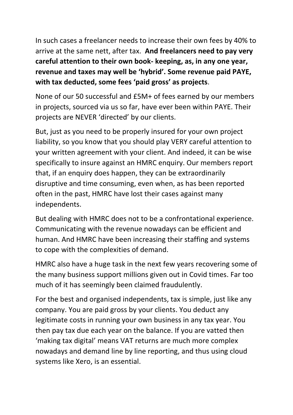In such cases a freelancer needs to increase their own fees by 40% to arrive at the same nett, after tax. **And freelancers need to pay very careful attention to their own book- keeping, as, in any one year, revenue and taxes may well be 'hybrid'. Some revenue paid PAYE, with tax deducted, some fees 'paid gross' as projects**.

None of our 50 successful and £5M+ of fees earned by our members in projects, sourced via us so far, have ever been within PAYE. Their projects are NEVER 'directed' by our clients.

But, just as you need to be properly insured for your own project liability, so you know that you should play VERY careful attention to your written agreement with your client. And indeed, it can be wise specifically to insure against an HMRC enquiry. Our members report that, if an enquiry does happen, they can be extraordinarily disruptive and time consuming, even when, as has been reported often in the past, HMRC have lost their cases against many independents.

But dealing with HMRC does not to be a confrontational experience. Communicating with the revenue nowadays can be efficient and human. And HMRC have been increasing their staffing and systems to cope with the complexities of demand.

HMRC also have a huge task in the next few years recovering some of the many business support millions given out in Covid times. Far too much of it has seemingly been claimed fraudulently.

For the best and organised independents, tax is simple, just like any company. You are paid gross by your clients. You deduct any legitimate costs in running your own business in any tax year. You then pay tax due each year on the balance. If you are vatted then 'making tax digital' means VAT returns are much more complex nowadays and demand line by line reporting, and thus using cloud systems like Xero, is an essential.